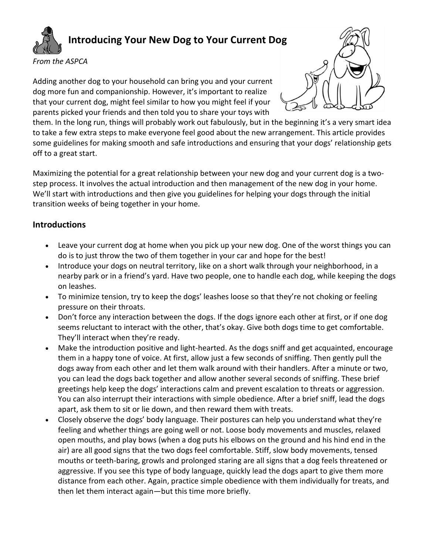

## **Introducing Your New Dog to Your Current Dog**

*From the ASPCA*

Adding another dog to your household can bring you and your current dog more fun and companionship. However, it's important to realize that your current dog, might feel similar to how you might feel if your parents picked your friends and then told you to share your toys with



them. In the long run, things will probably work out fabulously, but in the beginning it's a very smart idea to take a few extra steps to make everyone feel good about the new arrangement. This article provides some guidelines for making smooth and safe introductions and ensuring that your dogs' relationship gets off to a great start.

Maximizing the potential for a great relationship between your new dog and your current dog is a twostep process. It involves the actual introduction and then management of the new dog in your home. We'll start with introductions and then give you guidelines for helping your dogs through the initial transition weeks of being together in your home.

## **Introductions**

- Leave your current dog at home when you pick up your new dog. One of the worst things you can do is to just throw the two of them together in your car and hope for the best!
- Introduce your dogs on neutral territory, like on a short walk through your neighborhood, in a nearby park or in a friend's yard. Have two people, one to handle each dog, while keeping the dogs on leashes.
- To minimize tension, try to keep the dogs' leashes loose so that they're not choking or feeling pressure on their throats.
- Don't force any interaction between the dogs. If the dogs ignore each other at first, or if one dog seems reluctant to interact with the other, that's okay. Give both dogs time to get comfortable. They'll interact when they're ready.
- Make the introduction positive and light-hearted. As the dogs sniff and get acquainted, encourage them in a happy tone of voice. At first, allow just a few seconds of sniffing. Then gently pull the dogs away from each other and let them walk around with their handlers. After a minute or two, you can lead the dogs back together and allow another several seconds of sniffing. These brief greetings help keep the dogs' interactions calm and prevent escalation to threats or aggression. You can also interrupt their interactions with simple obedience. After a brief sniff, lead the dogs apart, ask them to sit or lie down, and then reward them with treats.
- Closely observe the dogs' body language. Their postures can help you understand what they're feeling and whether things are going well or not. Loose body movements and muscles, relaxed open mouths, and play bows (when a dog puts his elbows on the ground and his hind end in the air) are all good signs that the two dogs feel comfortable. Stiff, slow body movements, tensed mouths or teeth-baring, growls and prolonged staring are all signs that a dog feels threatened or aggressive. If you see this type of body language, quickly lead the dogs apart to give them more distance from each other. Again, practice simple obedience with them individually for treats, and then let them interact again—but this time more briefly.